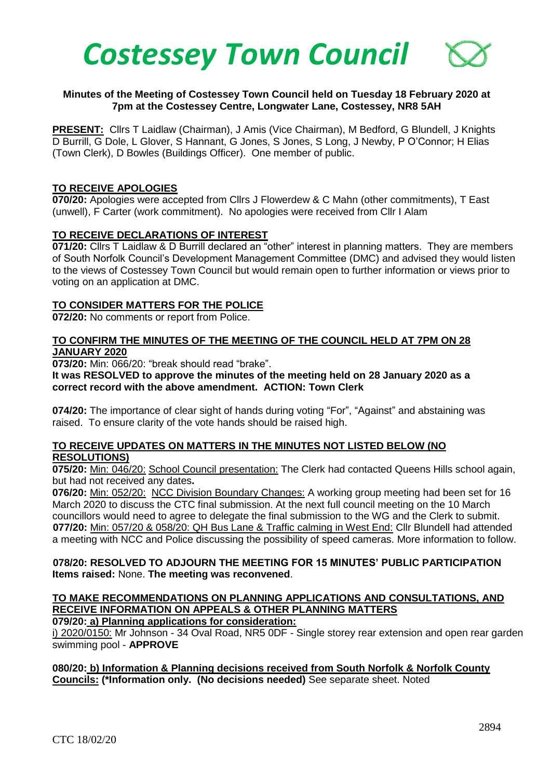

### **Minutes of the Meeting of Costessey Town Council held on Tuesday 18 February 2020 at 7pm at the Costessey Centre, Longwater Lane, Costessey, NR8 5AH**

PRESENT: Cllrs T Laidlaw (Chairman), J Amis (Vice Chairman), M Bedford, G Blundell, J Knights D Burrill, G Dole, L Glover, S Hannant, G Jones, S Jones, S Long, J Newby, P O'Connor; H Elias (Town Clerk), D Bowles (Buildings Officer). One member of public.

#### **TO RECEIVE APOLOGIES**

**070/20:** Apologies were accepted from Cllrs J Flowerdew & C Mahn (other commitments), T East (unwell), F Carter (work commitment). No apologies were received from Cllr I Alam

### **TO RECEIVE DECLARATIONS OF INTEREST**

**071/20:** Cllrs T Laidlaw & D Burrill declared an "other" interest in planning matters. They are members of South Norfolk Council's Development Management Committee (DMC) and advised they would listen to the views of Costessey Town Council but would remain open to further information or views prior to voting on an application at DMC.

### **TO CONSIDER MATTERS FOR THE POLICE**

**072/20:** No comments or report from Police.

### **TO CONFIRM THE MINUTES OF THE MEETING OF THE COUNCIL HELD AT 7PM ON 28 JANUARY 2020**

**073/20:** Min: 066/20: "break should read "brake".

#### **It was RESOLVED to approve the minutes of the meeting held on 28 January 2020 as a correct record with the above amendment. ACTION: Town Clerk**

**074/20:** The importance of clear sight of hands during voting "For", "Against" and abstaining was raised. To ensure clarity of the vote hands should be raised high.

### **TO RECEIVE UPDATES ON MATTERS IN THE MINUTES NOT LISTED BELOW (NO RESOLUTIONS)**

**075/20:** Min: 046/20: School Council presentation: The Clerk had contacted Queens Hills school again, but had not received any dates**.**

**076/20:** Min: 052/20: NCC Division Boundary Changes: A working group meeting had been set for 16 March 2020 to discuss the CTC final submission. At the next full council meeting on the 10 March councillors would need to agree to delegate the final submission to the WG and the Clerk to submit.  **077/20:** Min: 057/20 & 058/20: QH Bus Lane & Traffic calming in West End: Cllr Blundell had attended a meeting with NCC and Police discussing the possibility of speed cameras. More information to follow.

### **078/20: RESOLVED TO ADJOURN THE MEETING FOR 15 MINUTES' PUBLIC PARTICIPATION Items raised:** None. **The meeting was reconvened**.

# **TO MAKE RECOMMENDATIONS ON PLANNING APPLICATIONS AND CONSULTATIONS, AND RECEIVE INFORMATION ON APPEALS & OTHER PLANNING MATTERS**

**079/20: a) Planning applications for consideration:**

i) 2020/0150: Mr Johnson - 34 Oval Road, NR5 0DF - Single storey rear extension and open rear garden swimming pool - **APPROVE**

**080/20: b) Information & Planning decisions received from South Norfolk & Norfolk County Councils: (\*Information only. (No decisions needed)** See separate sheet. Noted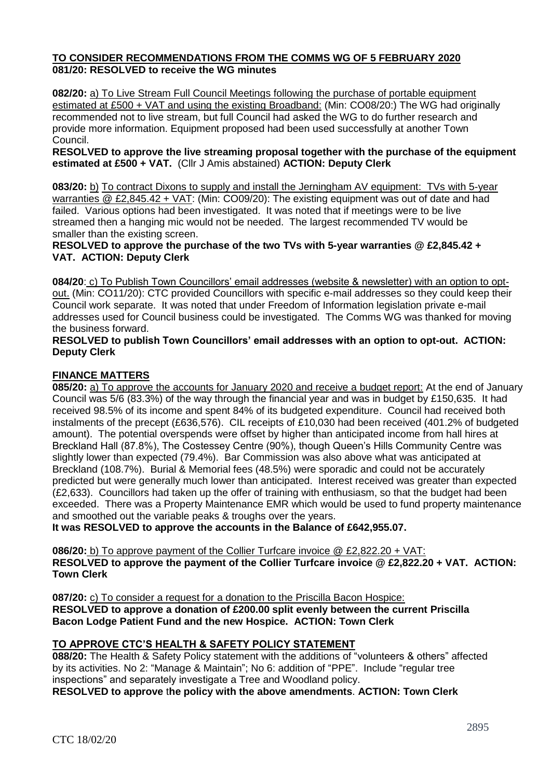# **TO CONSIDER RECOMMENDATIONS FROM THE COMMS WG OF 5 FEBRUARY 2020 081/20: RESOLVED to receive the WG minutes**

**082/20:** a) To Live Stream Full Council Meetings following the purchase of portable equipment estimated at £500 + VAT and using the existing Broadband: (Min: CO08/20:) The WG had originally recommended not to live stream, but full Council had asked the WG to do further research and provide more information. Equipment proposed had been used successfully at another Town Council.

**RESOLVED to approve the live streaming proposal together with the purchase of the equipment estimated at £500 + VAT.** (Cllr J Amis abstained) **ACTION: Deputy Clerk**

**083/20:** b) To contract Dixons to supply and install the Jerningham AV equipment: TVs with 5-year warranties @ £2,845.42 + VAT: (Min: CO09/20): The existing equipment was out of date and had failed. Various options had been investigated. It was noted that if meetings were to be live streamed then a hanging mic would not be needed. The largest recommended TV would be smaller than the existing screen.

**RESOLVED to approve the purchase of the two TVs with 5-year warranties @ £2,845.42 + VAT. ACTION: Deputy Clerk**

**084/20**: c) To Publish Town Councillors' email addresses (website & newsletter) with an option to optout. (Min: CO11/20): CTC provided Councillors with specific e-mail addresses so they could keep their Council work separate. It was noted that under Freedom of Information legislation private e-mail addresses used for Council business could be investigated. The Comms WG was thanked for moving the business forward.

**RESOLVED to publish Town Councillors' email addresses with an option to opt-out. ACTION: Deputy Clerk**

# **FINANCE MATTERS**

**085/20:** a) To approve the accounts for January 2020 and receive a budget report: At the end of January Council was 5/6 (83.3%) of the way through the financial year and was in budget by £150,635. It had received 98.5% of its income and spent 84% of its budgeted expenditure. Council had received both instalments of the precept (£636,576). CIL receipts of £10,030 had been received (401.2% of budgeted amount). The potential overspends were offset by higher than anticipated income from hall hires at Breckland Hall (87.8%), The Costessey Centre (90%), though Queen's Hills Community Centre was slightly lower than expected (79.4%). Bar Commission was also above what was anticipated at Breckland (108.7%). Burial & Memorial fees (48.5%) were sporadic and could not be accurately predicted but were generally much lower than anticipated. Interest received was greater than expected (£2,633). Councillors had taken up the offer of training with enthusiasm, so that the budget had been exceeded. There was a Property Maintenance EMR which would be used to fund property maintenance and smoothed out the variable peaks & troughs over the years.

**It was RESOLVED to approve the accounts in the Balance of £642,955.07.**

**086/20:** b) To approve payment of the Collier Turfcare invoice @ £2,822.20 + VAT: **RESOLVED to approve the payment of the Collier Turfcare invoice @ £2,822.20 + VAT. ACTION: Town Clerk**

**087/20:** c) To consider a request for a donation to the Priscilla Bacon Hospice: **RESOLVED to approve a donation of £200.00 split evenly between the current Priscilla Bacon Lodge Patient Fund and the new Hospice. ACTION: Town Clerk**

# **TO APPROVE CTC'S HEALTH & SAFETY POLICY STATEMENT**

**088/20:** The Health & Safety Policy statement with the additions of "volunteers & others" affected by its activities. No 2: "Manage & Maintain"; No 6: addition of "PPE". Include "regular tree inspections" and separately investigate a Tree and Woodland policy.

**RESOLVED to approve** t**he policy with the above amendments**. **ACTION: Town Clerk**